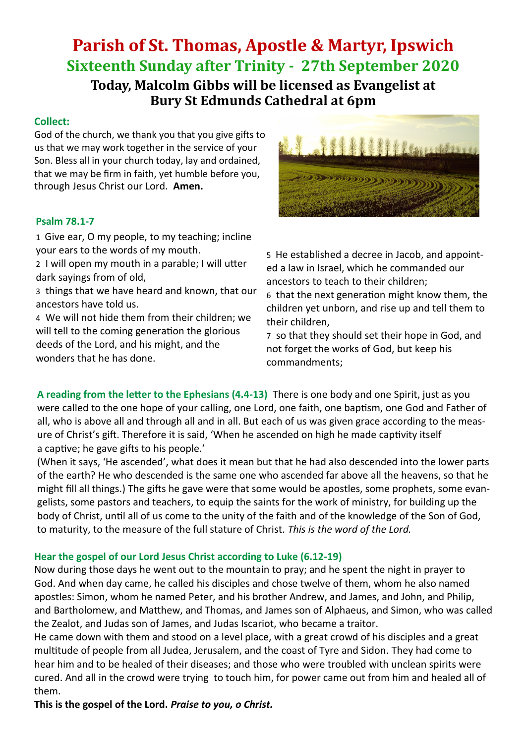# **Parish of St. Thomas, Apostle & Martyr, Ipswich Sixteenth Sunday after Trinity - 27th September 2020**

**Today, Malcolm Gibbs will be licensed as Evangelist at Bury St Edmunds Cathedral at 6pm**

## **Collect:**

God of the church, we thank you that you give gifts to us that we may work together in the service of your Son. Bless all in your church today, lay and ordained, that we may be firm in faith, yet humble before you, through Jesus Christ our Lord. **Amen.**

## **Psalm 78.1-7**

1 Give ear, O my people, to my teaching; incline your ears to the words of my mouth.

2 I will open my mouth in a parable; I will utter dark sayings from of old,

3 things that we have heard and known, that our ancestors have told us.

4 We will not hide them from their children; we will tell to the coming generation the glorious deeds of the Lord, and his might, and the wonders that he has done.



5 He established a decree in Jacob, and appointed a law in Israel, which he commanded our ancestors to teach to their children;

6 that the next generation might know them, the children yet unborn, and rise up and tell them to their children,

7 so that they should set their hope in God, and not forget the works of God, but keep his commandments;

**A reading from the letter to the Ephesians (4.4-13)** There is one body and one Spirit, just as you were called to the one hope of your calling, one Lord, one faith, one baptism, one God and Father of all, who is above all and through all and in all. But each of us was given grace according to the measure of Christ's gift. Therefore it is said, 'When he ascended on high he made captivity itself a captive; he gave gifts to his people.'

(When it says, 'He ascended', what does it mean but that he had also descended into the lower parts of the earth? He who descended is the same one who ascended far above all the heavens, so that he might fill all things.) The gifts he gave were that some would be apostles, some prophets, some evangelists, some pastors and teachers, to equip the saints for the work of ministry, for building up the body of Christ, until all of us come to the unity of the faith and of the knowledge of the Son of God, to maturity, to the measure of the full stature of Christ. *This is the word of the Lord.*

# **Hear the gospel of our Lord Jesus Christ according to Luke (6.12-19)**

Now during those days he went out to the mountain to pray; and he spent the night in prayer to God. And when day came, he called his disciples and chose twelve of them, whom he also named apostles: Simon, whom he named Peter, and his brother Andrew, and James, and John, and Philip, and Bartholomew, and Matthew, and Thomas, and James son of Alphaeus, and Simon, who was called the Zealot, and Judas son of James, and Judas Iscariot, who became a traitor.

He came down with them and stood on a level place, with a great crowd of his disciples and a great multitude of people from all Judea, Jerusalem, and the coast of Tyre and Sidon. They had come to hear him and to be healed of their diseases; and those who were troubled with unclean spirits were cured. And all in the crowd were trying to touch him, for power came out from him and healed all of them.

**This is the gospel of the Lord.** *Praise to you, o Christ.*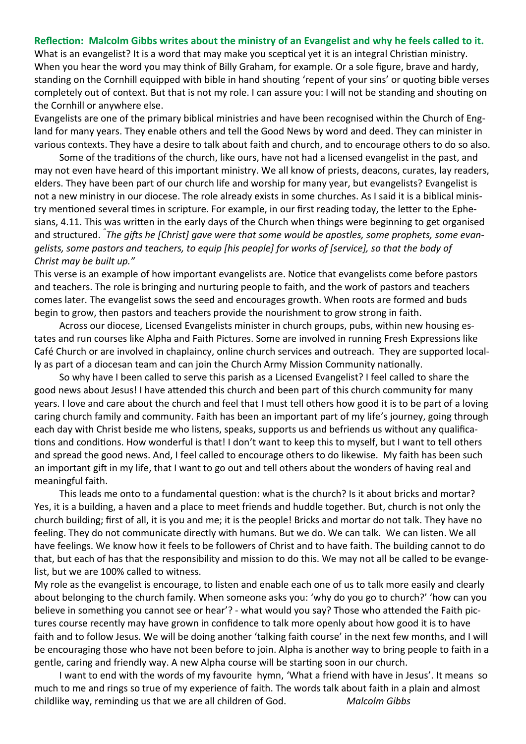#### **Reflection: Malcolm Gibbs writes about the ministry of an Evangelist and why he feels called to it.**

What is an evangelist? It is a word that may make you sceptical yet it is an integral Christian ministry. When you hear the word you may think of Billy Graham, for example. Or a sole figure, brave and hardy, standing on the Cornhill equipped with bible in hand shouting 'repent of your sins' or quoting bible verses completely out of context. But that is not my role. I can assure you: I will not be standing and shouting on the Cornhill or anywhere else.

Evangelists are one of the primary biblical ministries and have been recognised within the Church of England for many years. They enable others and tell the Good News by word and deed. They can minister in various contexts. They have a desire to talk about faith and church, and to encourage others to do so also.

Some of the traditions of the church, like ours, have not had a licensed evangelist in the past, and may not even have heard of this important ministry. We all know of priests, deacons, curates, lay readers, elders. They have been part of our church life and worship for many year, but evangelists? Evangelist is not a new ministry in our diocese. The role already exists in some churches. As I said it is a biblical ministry mentioned several times in scripture. For example, in our first reading today, the letter to the Ephesians, 4.11. This was written in the early days of the Church when things were beginning to get organised and structured. " *The gifts he [Christ] gave were that some would be apostles, some prophets, some evangelists, some pastors and teachers, to equip [his people] for works of [service], so that the body of Christ may be built up."* 

This verse is an example of how important evangelists are. Notice that evangelists come before pastors and teachers. The role is bringing and nurturing people to faith, and the work of pastors and teachers comes later. The evangelist sows the seed and encourages growth. When roots are formed and buds begin to grow, then pastors and teachers provide the nourishment to grow strong in faith.

Across our diocese, Licensed Evangelists minister in church groups, pubs, within new housing estates and run courses like Alpha and Faith Pictures. Some are involved in running Fresh Expressions like Café Church or are involved in chaplaincy, online church services and outreach. They are supported locally as part of a diocesan team and can join the Church Army Mission Community nationally.

So why have I been called to serve this parish as a Licensed Evangelist? I feel called to share the good news about Jesus! I have attended this church and been part of this church community for many years. I love and care about the church and feel that I must tell others how good it is to be part of a loving caring church family and community. Faith has been an important part of my life's journey, going through each day with Christ beside me who listens, speaks, supports us and befriends us without any qualifications and conditions. How wonderful is that! I don't want to keep this to myself, but I want to tell others and spread the good news. And, I feel called to encourage others to do likewise. My faith has been such an important gift in my life, that I want to go out and tell others about the wonders of having real and meaningful faith.

This leads me onto to a fundamental question: what is the church? Is it about bricks and mortar? Yes, it is a building, a haven and a place to meet friends and huddle together. But, church is not only the church building; first of all, it is you and me; it is the people! Bricks and mortar do not talk. They have no feeling. They do not communicate directly with humans. But we do. We can talk. We can listen. We all have feelings. We know how it feels to be followers of Christ and to have faith. The building cannot to do that, but each of has that the responsibility and mission to do this. We may not all be called to be evangelist, but we are 100% called to witness.

My role as the evangelist is encourage, to listen and enable each one of us to talk more easily and clearly about belonging to the church family. When someone asks you: 'why do you go to church?' 'how can you believe in something you cannot see or hear'? - what would you say? Those who attended the Faith pictures course recently may have grown in confidence to talk more openly about how good it is to have faith and to follow Jesus. We will be doing another 'talking faith course' in the next few months, and I will be encouraging those who have not been before to join. Alpha is another way to bring people to faith in a gentle, caring and friendly way. A new Alpha course will be starting soon in our church.

I want to end with the words of my favourite hymn, 'What a friend with have in Jesus'. It means so much to me and rings so true of my experience of faith. The words talk about faith in a plain and almost childlike way, reminding us that we are all children of God. *Malcolm Gibbs*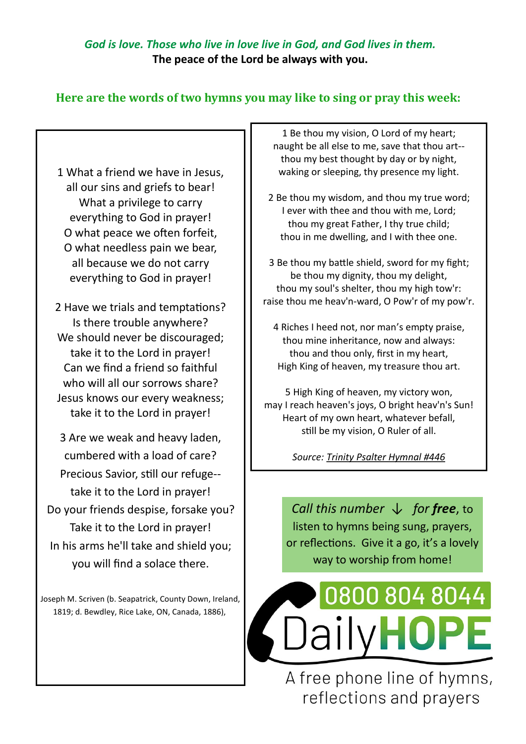# *God is love. Those who live in love live in God, and God lives in them.*  **The peace of the Lord be always with you.**

# **Here are the words of two hymns you may like to sing or pray this week:**

- 1 What a friend we have in Jesus, all our sins and griefs to bear! What a privilege to carry everything to God in prayer! O what peace we often forfeit, O what needless pain we bear, all because we do not carry everything to God in prayer!
- 2 Have we trials and temptations? Is there trouble anywhere? We should never be discouraged; take it to the Lord in prayer! Can we find a friend so faithful who will all our sorrows share? Jesus knows our every weakness; take it to the Lord in prayer!
- 3 Are we weak and heavy laden, cumbered with a load of care? Precious Savior, still our refuge- take it to the Lord in prayer! Do your friends despise, forsake you? Take it to the Lord in prayer! In his arms he'll take and shield you; you will find a solace there.

Joseph M. Scriven (b. Seapatrick, County Down, Ireland, 1819; d. Bewdley, Rice Lake, ON, Canada, 1886),

1 Be thou my vision, O Lord of my heart; naught be all else to me, save that thou art- thou my best thought by day or by night, waking or sleeping, thy presence my light.

2 Be thou my wisdom, and thou my true word; I ever with thee and thou with me, Lord; thou my great Father, I thy true child; thou in me dwelling, and I with thee one.

3 Be thou my battle shield, sword for my fight; be thou my dignity, thou my delight, thou my soul's shelter, thou my high tow'r: raise thou me heav'n-ward, O Pow'r of my pow'r.

4 Riches I heed not, nor man's empty praise, thou mine inheritance, now and always: thou and thou only, first in my heart, High King of heaven, my treasure thou art.

5 High King of heaven, my victory won, may I reach heaven's joys, O bright heav'n's Sun! Heart of my own heart, whatever befall, still be my vision, O Ruler of all.

*Source: [Trinity Psalter Hymnal #446](https://hymnary.org/hymn/TPH2018/446)*





A free phone line of hymns, reflections and prayers